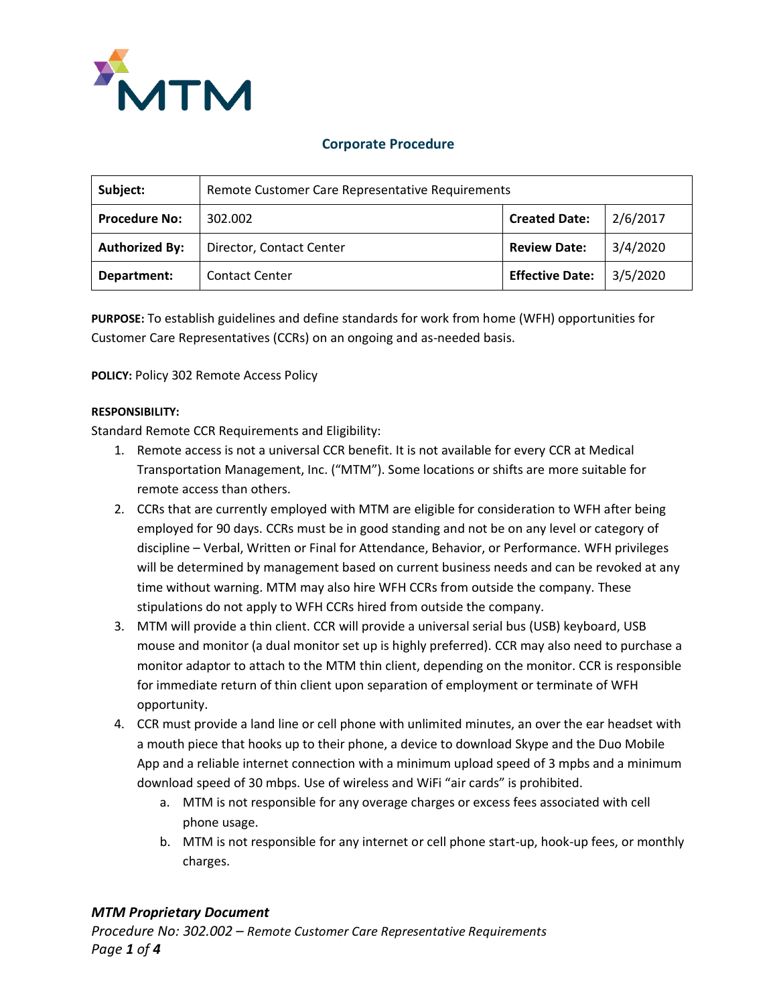

## **Corporate Procedure**

| Subject:              | Remote Customer Care Representative Requirements |                        |          |
|-----------------------|--------------------------------------------------|------------------------|----------|
| <b>Procedure No:</b>  | 302.002                                          | <b>Created Date:</b>   | 2/6/2017 |
| <b>Authorized By:</b> | Director, Contact Center                         | <b>Review Date:</b>    | 3/4/2020 |
| Department:           | <b>Contact Center</b>                            | <b>Effective Date:</b> | 3/5/2020 |

**PURPOSE:** To establish guidelines and define standards for work from home (WFH) opportunities for Customer Care Representatives (CCRs) on an ongoing and as-needed basis.

**POLICY:** Policy 302 Remote Access Policy

#### **RESPONSIBILITY:**

Standard Remote CCR Requirements and Eligibility:

- 1. Remote access is not a universal CCR benefit. It is not available for every CCR at Medical Transportation Management, Inc. ("MTM"). Some locations or shifts are more suitable for remote access than others.
- 2. CCRs that are currently employed with MTM are eligible for consideration to WFH after being employed for 90 days. CCRs must be in good standing and not be on any level or category of discipline – Verbal, Written or Final for Attendance, Behavior, or Performance. WFH privileges will be determined by management based on current business needs and can be revoked at any time without warning. MTM may also hire WFH CCRs from outside the company. These stipulations do not apply to WFH CCRs hired from outside the company.
- 3. MTM will provide a thin client. CCR will provide a universal serial bus (USB) keyboard, USB mouse and monitor (a dual monitor set up is highly preferred). CCR may also need to purchase a monitor adaptor to attach to the MTM thin client, depending on the monitor. CCR is responsible for immediate return of thin client upon separation of employment or terminate of WFH opportunity.
- 4. CCR must provide a land line or cell phone with unlimited minutes, an over the ear headset with a mouth piece that hooks up to their phone, a device to download Skype and the Duo Mobile App and a reliable internet connection with a minimum upload speed of 3 mpbs and a minimum download speed of 30 mbps. Use of wireless and WiFi "air cards" is prohibited.
	- a. MTM is not responsible for any overage charges or excess fees associated with cell phone usage.
	- b. MTM is not responsible for any internet or cell phone start-up, hook-up fees, or monthly charges.

### *MTM Proprietary Document*

*Procedure No: 302.002 – Remote Customer Care Representative Requirements Page 1 of 4*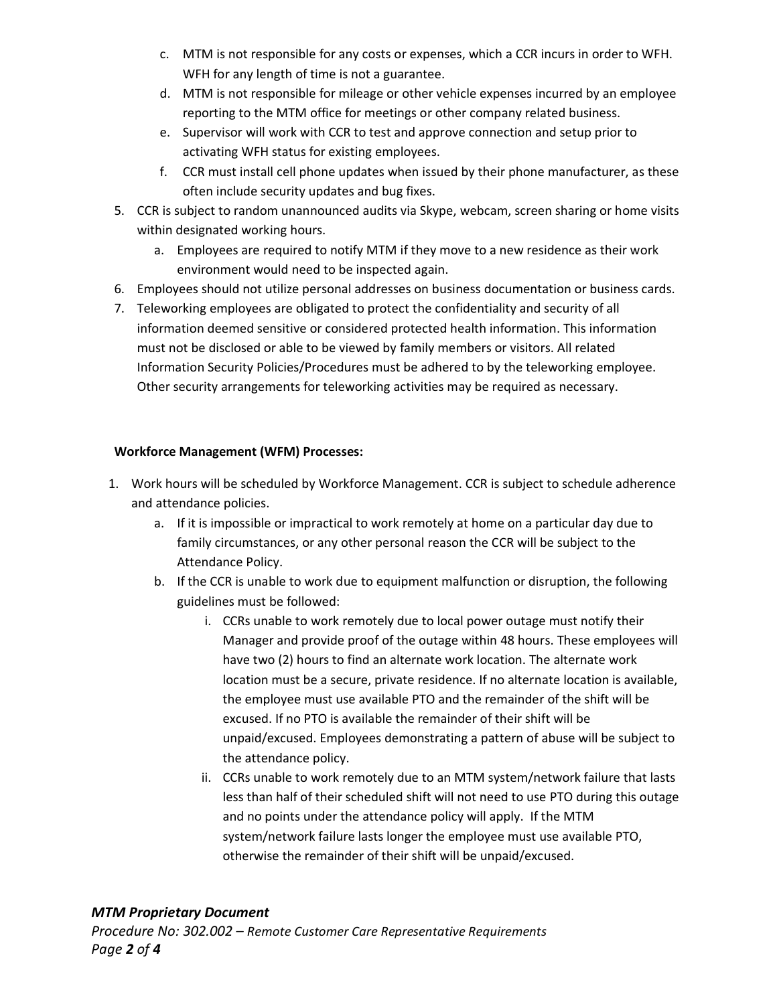- c. MTM is not responsible for any costs or expenses, which a CCR incurs in order to WFH. WFH for any length of time is not a guarantee.
- d. MTM is not responsible for mileage or other vehicle expenses incurred by an employee reporting to the MTM office for meetings or other company related business.
- e. Supervisor will work with CCR to test and approve connection and setup prior to activating WFH status for existing employees.
- f. CCR must install cell phone updates when issued by their phone manufacturer, as these often include security updates and bug fixes.
- 5. CCR is subject to random unannounced audits via Skype, webcam, screen sharing or home visits within designated working hours.
	- a. Employees are required to notify MTM if they move to a new residence as their work environment would need to be inspected again.
- 6. Employees should not utilize personal addresses on business documentation or business cards.
- 7. Teleworking employees are obligated to protect the confidentiality and security of all information deemed sensitive or considered protected health information. This information must not be disclosed or able to be viewed by family members or visitors. All related Information Security Policies/Procedures must be adhered to by the teleworking employee. Other security arrangements for teleworking activities may be required as necessary.

## **Workforce Management (WFM) Processes:**

- 1. Work hours will be scheduled by Workforce Management. CCR is subject to schedule adherence and attendance policies.
	- a. If it is impossible or impractical to work remotely at home on a particular day due to family circumstances, or any other personal reason the CCR will be subject to the Attendance Policy.
	- b. If the CCR is unable to work due to equipment malfunction or disruption, the following guidelines must be followed:
		- i. CCRs unable to work remotely due to local power outage must notify their Manager and provide proof of the outage within 48 hours. These employees will have two (2) hours to find an alternate work location. The alternate work location must be a secure, private residence. If no alternate location is available, the employee must use available PTO and the remainder of the shift will be excused. If no PTO is available the remainder of their shift will be unpaid/excused. Employees demonstrating a pattern of abuse will be subject to the attendance policy.
		- ii. CCRs unable to work remotely due to an MTM system/network failure that lasts less than half of their scheduled shift will not need to use PTO during this outage and no points under the attendance policy will apply. If the MTM system/network failure lasts longer the employee must use available PTO, otherwise the remainder of their shift will be unpaid/excused.

### *MTM Proprietary Document*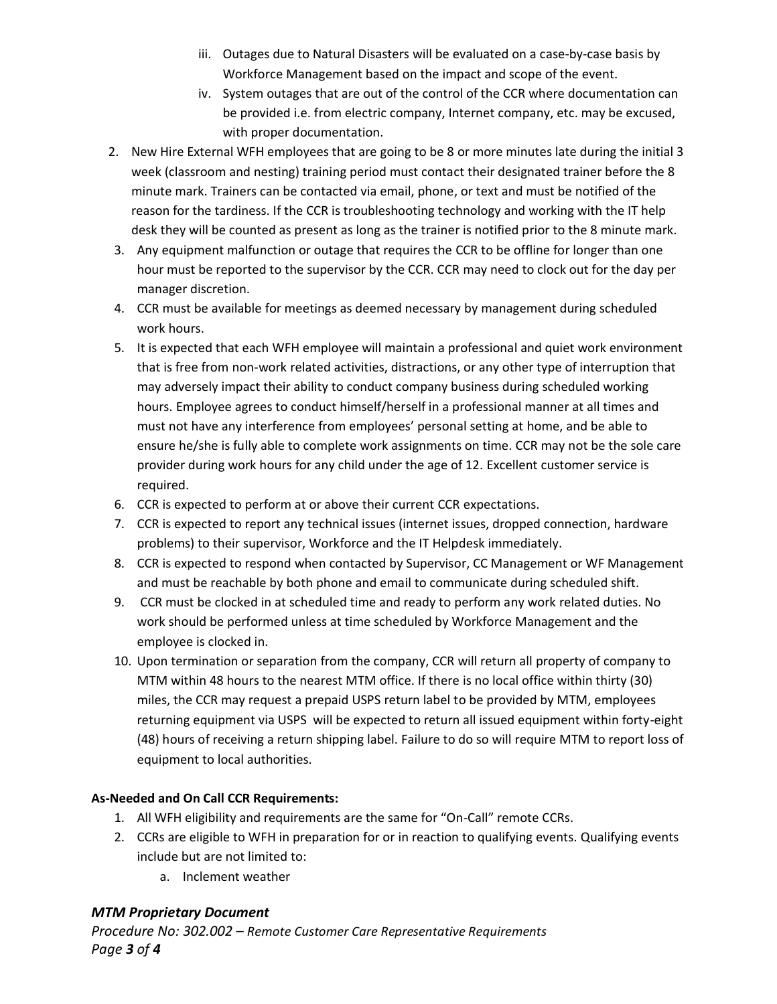- iii. Outages due to Natural Disasters will be evaluated on a case-by-case basis by Workforce Management based on the impact and scope of the event.
- iv. System outages that are out of the control of the CCR where documentation can be provided i.e. from electric company, Internet company, etc. may be excused, with proper documentation.
- 2. New Hire External WFH employees that are going to be 8 or more minutes late during the initial 3 week (classroom and nesting) training period must contact their designated trainer before the 8 minute mark. Trainers can be contacted via email, phone, or text and must be notified of the reason for the tardiness. If the CCR is troubleshooting technology and working with the IT help desk they will be counted as present as long as the trainer is notified prior to the 8 minute mark.
- 3. Any equipment malfunction or outage that requires the CCR to be offline for longer than one hour must be reported to the supervisor by the CCR. CCR may need to clock out for the day per manager discretion.
- 4. CCR must be available for meetings as deemed necessary by management during scheduled work hours.
- 5. It is expected that each WFH employee will maintain a professional and quiet work environment that is free from non-work related activities, distractions, or any other type of interruption that may adversely impact their ability to conduct company business during scheduled working hours. Employee agrees to conduct himself/herself in a professional manner at all times and must not have any interference from employees' personal setting at home, and be able to ensure he/she is fully able to complete work assignments on time. CCR may not be the sole care provider during work hours for any child under the age of 12. Excellent customer service is required.
- 6. CCR is expected to perform at or above their current CCR expectations.
- 7. CCR is expected to report any technical issues (internet issues, dropped connection, hardware problems) to their supervisor, Workforce and the IT Helpdesk immediately.
- 8. CCR is expected to respond when contacted by Supervisor, CC Management or WF Management and must be reachable by both phone and email to communicate during scheduled shift.
- 9. CCR must be clocked in at scheduled time and ready to perform any work related duties. No work should be performed unless at time scheduled by Workforce Management and the employee is clocked in.
- 10. Upon termination or separation from the company, CCR will return all property of company to MTM within 48 hours to the nearest MTM office. If there is no local office within thirty (30) miles, the CCR may request a prepaid USPS return label to be provided by MTM, employees returning equipment via USPS will be expected to return all issued equipment within forty-eight (48) hours of receiving a return shipping label. Failure to do so will require MTM to report loss of equipment to local authorities.

# **As-Needed and On Call CCR Requirements:**

- 1. All WFH eligibility and requirements are the same for "On-Call" remote CCRs.
- 2. CCRs are eligible to WFH in preparation for or in reaction to qualifying events. Qualifying events include but are not limited to:
	- a. Inclement weather

# *MTM Proprietary Document*

*Procedure No: 302.002 – Remote Customer Care Representative Requirements Page 3 of 4*